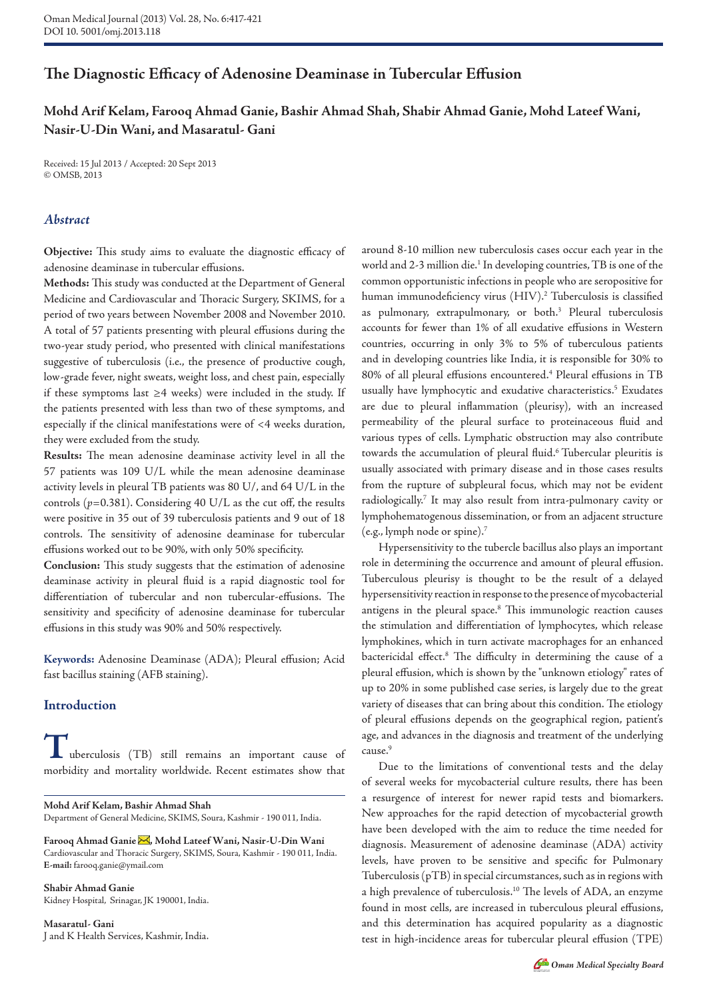# **The Diagnostic Efficacy of Adenosine Deaminase in Tubercular Effusion**

# **Mohd Arif Kelam, Farooq Ahmad Ganie, Bashir Ahmad Shah, Shabir Ahmad Ganie, Mohd Lateef Wani, Nasir-U-Din Wani, and Masaratul- Gani**

Received: 15 Jul 2013 / Accepted: 20 Sept 2013 © OMSB, 2013

## *Abstract*

**Objective:** This study aims to evaluate the diagnostic efficacy of adenosine deaminase in tubercular effusions.

**Methods:** This study was conducted at the Department of General Medicine and Cardiovascular and Thoracic Surgery, SKIMS, for a period of two years between November 2008 and November 2010. A total of 57 patients presenting with pleural effusions during the two-year study period, who presented with clinical manifestations suggestive of tuberculosis (i.e., the presence of productive cough, low-grade fever, night sweats, weight loss, and chest pain, especially if these symptoms last ≥4 weeks) were included in the study. If the patients presented with less than two of these symptoms, and especially if the clinical manifestations were of <4 weeks duration, they were excluded from the study.

**Results:** The mean adenosine deaminase activity level in all the 57 patients was 109 U/L while the mean adenosine deaminase activity levels in pleural TB patients was 80 U/, and 64 U/L in the controls (*p*=0.381). Considering 40 U/L as the cut off, the results were positive in 35 out of 39 tuberculosis patients and 9 out of 18 controls. The sensitivity of adenosine deaminase for tubercular effusions worked out to be 90%, with only 50% specificity.

**Conclusion:** This study suggests that the estimation of adenosine deaminase activity in pleural fluid is a rapid diagnostic tool for differentiation of tubercular and non tubercular-effusions. The sensitivity and specificity of adenosine deaminase for tubercular effusions in this study was 90% and 50% respectively.

**Keywords:** Adenosine Deaminase (ADA); Pleural effusion; Acid fast bacillus staining (AFB staining).

# **Introduction**

**T**uberculosis (TB) still remains an important cause of morbidity and mortality worldwide. Recent estimates show that

**Mohd Arif Kelam, Bashir Ahmad Shah**  Department of General Medicine, SKIMS, Soura, Kashmir - 190 011, India.

Farooq Ahmad Ganie <a>No<br/>, Mohd Lateef Wani, Nasir-U-Din Wani Cardiovascular and Thoracic Surgery, SKIMS, Soura, Kashmir - 190 011, India. **E-mail:** farooq.ganie@ymail.com

**Shabir Ahmad Ganie** Kidney Hospital, Srinagar, JK 190001, India.

**Masaratul- Gani** J and K Health Services, Kashmir, India.

around 8-10 million new tuberculosis cases occur each year in the world and 2-3 million die.<sup>1</sup> In developing countries, TB is one of the common opportunistic infections in people who are seropositive for human immunodeficiency virus (HIV).<sup>2</sup> Tuberculosis is classified as pulmonary, extrapulmonary, or both.<sup>3</sup> Pleural tuberculosis accounts for fewer than 1% of all exudative effusions in Western countries, occurring in only 3% to 5% of tuberculous patients and in developing countries like India, it is responsible for 30% to 80% of all pleural effusions encountered.<sup>4</sup> Pleural effusions in TB usually have lymphocytic and exudative characteristics.<sup>5</sup> Exudates are due to pleural inflammation (pleurisy), with an increased permeability of the pleural surface to proteinaceous fluid and various types of cells. Lymphatic obstruction may also contribute towards the accumulation of pleural fluid.<sup>6</sup> Tubercular pleuritis is usually associated with primary disease and in those cases results from the rupture of subpleural focus, which may not be evident radiologically.7 It may also result from intra-pulmonary cavity or lymphohematogenous dissemination, or from an adjacent structure (e.g., lymph node or spine).7

Hypersensitivity to the tubercle bacillus also plays an important role in determining the occurrence and amount of pleural effusion. Tuberculous pleurisy is thought to be the result of a delayed hypersensitivity reaction in response to the presence of mycobacterial antigens in the pleural space.<sup>8</sup> This immunologic reaction causes the stimulation and differentiation of lymphocytes, which release lymphokines, which in turn activate macrophages for an enhanced bactericidal effect.8 The difficulty in determining the cause of a pleural effusion, which is shown by the "unknown etiology" rates of up to 20% in some published case series, is largely due to the great variety of diseases that can bring about this condition. The etiology of pleural effusions depends on the geographical region, patient's age, and advances in the diagnosis and treatment of the underlying cause.9

Due to the limitations of conventional tests and the delay of several weeks for mycobacterial culture results, there has been a resurgence of interest for newer rapid tests and biomarkers. New approaches for the rapid detection of mycobacterial growth have been developed with the aim to reduce the time needed for diagnosis. Measurement of adenosine deaminase (ADA) activity levels, have proven to be sensitive and specific for Pulmonary Tuberculosis (pTB) in special circumstances, such as in regions with a high prevalence of tuberculosis.10 The levels of ADA, an enzyme found in most cells, are increased in tuberculous pleural effusions, and this determination has acquired popularity as a diagnostic test in high-incidence areas for tubercular pleural effusion (TPE)

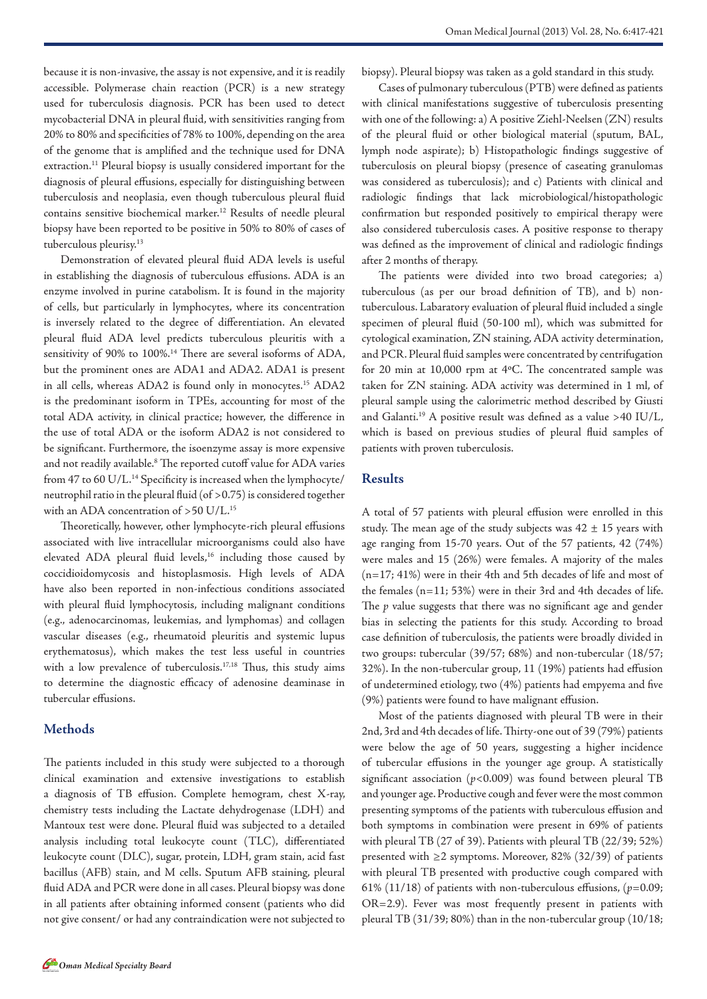because it is non-invasive, the assay is not expensive, and it is readily accessible. Polymerase chain reaction (PCR) is a new strategy used for tuberculosis diagnosis. PCR has been used to detect mycobacterial DNA in pleural fluid, with sensitivities ranging from 20% to 80% and specificities of 78% to 100%, depending on the area of the genome that is amplified and the technique used for DNA extraction.<sup>11</sup> Pleural biopsy is usually considered important for the diagnosis of pleural effusions, especially for distinguishing between tuberculosis and neoplasia, even though tuberculous pleural fluid contains sensitive biochemical marker.12 Results of needle pleural biopsy have been reported to be positive in 50% to 80% of cases of tuberculous pleurisy.13

Demonstration of elevated pleural fluid ADA levels is useful in establishing the diagnosis of tuberculous effusions. ADA is an enzyme involved in purine catabolism. It is found in the majority of cells, but particularly in lymphocytes, where its concentration is inversely related to the degree of differentiation. An elevated pleural fluid ADA level predicts tuberculous pleuritis with a sensitivity of 90% to 100%.<sup>14</sup> There are several isoforms of ADA, but the prominent ones are ADA1 and ADA2. ADA1 is present in all cells, whereas ADA2 is found only in monocytes.<sup>15</sup> ADA2 is the predominant isoform in TPEs, accounting for most of the total ADA activity, in clinical practice; however, the difference in the use of total ADA or the isoform ADA2 is not considered to be significant. Furthermore, the isoenzyme assay is more expensive and not readily available.<sup>8</sup> The reported cutoff value for ADA varies from 47 to 60 U/L.<sup>14</sup> Specificity is increased when the lymphocyte/ neutrophil ratio in the pleural fluid (of >0.75) is considered together with an ADA concentration of >50 U/L.15

Theoretically, however, other lymphocyte-rich pleural effusions associated with live intracellular microorganisms could also have elevated ADA pleural fluid levels,<sup>16</sup> including those caused by coccidioidomycosis and histoplasmosis. High levels of ADA have also been reported in non-infectious conditions associated with pleural fluid lymphocytosis, including malignant conditions (e.g., adenocarcinomas, leukemias, and lymphomas) and collagen vascular diseases (e.g., rheumatoid pleuritis and systemic lupus erythematosus), which makes the test less useful in countries with a low prevalence of tuberculosis.<sup>17,18</sup> Thus, this study aims to determine the diagnostic efficacy of adenosine deaminase in tubercular effusions.

## **Methods**

The patients included in this study were subjected to a thorough clinical examination and extensive investigations to establish a diagnosis of TB effusion. Complete hemogram, chest X-ray, chemistry tests including the Lactate dehydrogenase (LDH) and Mantoux test were done. Pleural fluid was subjected to a detailed analysis including total leukocyte count (TLC), differentiated leukocyte count (DLC), sugar, protein, LDH, gram stain, acid fast bacillus (AFB) stain, and M cells. Sputum AFB staining, pleural fluid ADA and PCR were done in all cases. Pleural biopsy was done in all patients after obtaining informed consent (patients who did not give consent/ or had any contraindication were not subjected to biopsy). Pleural biopsy was taken as a gold standard in this study.

Cases of pulmonary tuberculous (PTB) were defined as patients with clinical manifestations suggestive of tuberculosis presenting with one of the following: a) A positive Ziehl-Neelsen (ZN) results of the pleural fluid or other biological material (sputum, BAL, lymph node aspirate); b) Histopathologic findings suggestive of tuberculosis on pleural biopsy (presence of caseating granulomas was considered as tuberculosis); and c) Patients with clinical and radiologic findings that lack microbiological/histopathologic confirmation but responded positively to empirical therapy were also considered tuberculosis cases. A positive response to therapy was defined as the improvement of clinical and radiologic findings after 2 months of therapy.

The patients were divided into two broad categories; a) tuberculous (as per our broad definition of TB), and b) nontuberculous. Labaratory evaluation of pleural fluid included a single specimen of pleural fluid (50-100 ml), which was submitted for cytological examination, ZN staining, ADA activity determination, and PCR. Pleural fluid samples were concentrated by centrifugation for 20 min at 10,000 rpm at 4ºC. The concentrated sample was taken for ZN staining. ADA activity was determined in 1 ml, of pleural sample using the calorimetric method described by Giusti and Galanti.19 A positive result was defined as a value >40 IU/L, which is based on previous studies of pleural fluid samples of patients with proven tuberculosis.

#### **Results**

A total of 57 patients with pleural effusion were enrolled in this study. The mean age of the study subjects was  $42 \pm 15$  years with age ranging from 15-70 years. Out of the 57 patients, 42 (74%) were males and 15 (26%) were females. A majority of the males (n=17; 41%) were in their 4th and 5th decades of life and most of the females (n=11; 53%) were in their 3rd and 4th decades of life. The *p* value suggests that there was no significant age and gender bias in selecting the patients for this study. According to broad case definition of tuberculosis, the patients were broadly divided in two groups: tubercular (39/57; 68%) and non-tubercular (18/57; 32%). In the non-tubercular group, 11 (19%) patients had effusion of undetermined etiology, two (4%) patients had empyema and five (9%) patients were found to have malignant effusion.

Most of the patients diagnosed with pleural TB were in their 2nd, 3rd and 4th decades of life. Thirty-one out of 39 (79%) patients were below the age of 50 years, suggesting a higher incidence of tubercular effusions in the younger age group. A statistically significant association ( $p$ <0.009) was found between pleural TB and younger age. Productive cough and fever were the most common presenting symptoms of the patients with tuberculous effusion and both symptoms in combination were present in 69% of patients with pleural TB (27 of 39). Patients with pleural TB (22/39; 52%) presented with ≥2 symptoms. Moreover, 82% (32/39) of patients with pleural TB presented with productive cough compared with 61% (11/18) of patients with non-tuberculous effusions,  $(p=0.09;$ OR=2.9). Fever was most frequently present in patients with pleural TB (31/39; 80%) than in the non-tubercular group (10/18;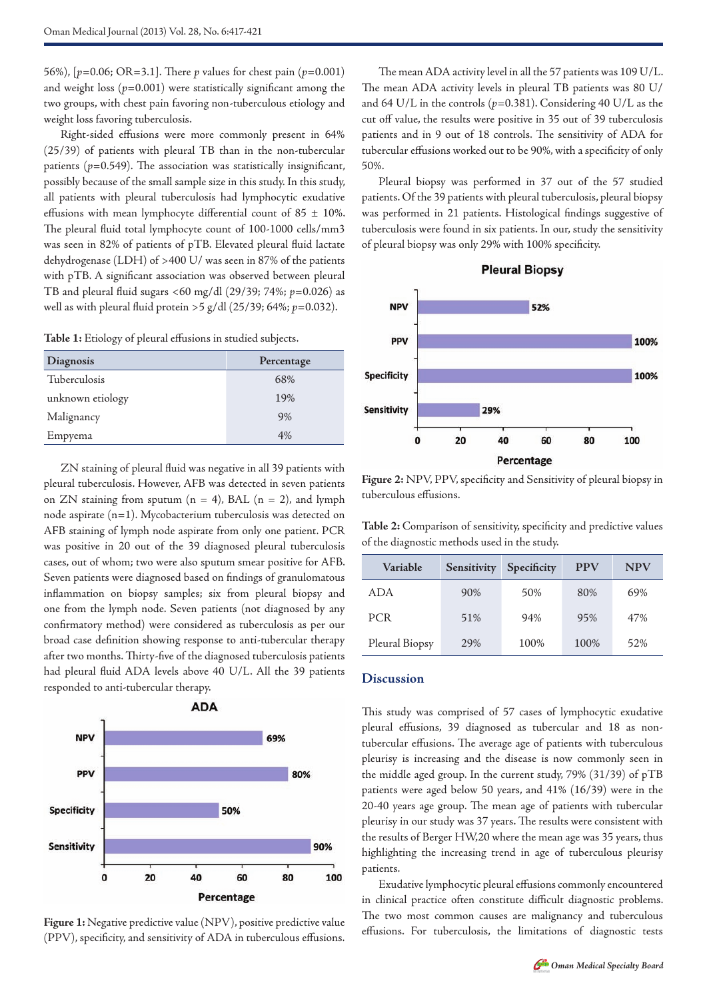56%), [*p*=0.06; OR=3.1]. There *p* values for chest pain (*p*=0.001) and weight loss  $(p=0.001)$  were statistically significant among the two groups, with chest pain favoring non-tuberculous etiology and weight loss favoring tuberculosis.

Right-sided effusions were more commonly present in 64% (25/39) of patients with pleural TB than in the non-tubercular patients  $(p=0.549)$ . The association was statistically insignificant, possibly because of the small sample size in this study. In this study, all patients with pleural tuberculosis had lymphocytic exudative effusions with mean lymphocyte differential count of  $85 \pm 10\%$ . The pleural fluid total lymphocyte count of 100-1000 cells/mm3 was seen in 82% of patients of pTB. Elevated pleural fluid lactate dehydrogenase (LDH) of >400 U/ was seen in 87% of the patients with pTB. A significant association was observed between pleural TB and pleural fluid sugars <60 mg/dl (29/39; 74%; *p*=0.026) as well as with pleural fluid protein >5 g/dl (25/39; 64%; *p*=0.032).

**Table 1:** Etiology of pleural effusions in studied subjects.

| Diagnosis        | Percentage |
|------------------|------------|
| Tuberculosis     | 68%        |
| unknown etiology | 19%        |
| Malignancy       | 9%         |
| Empyema          | 4%         |

ZN staining of pleural fluid was negative in all 39 patients with pleural tuberculosis. However, AFB was detected in seven patients on ZN staining from sputum ( $n = 4$ ), BAL ( $n = 2$ ), and lymph node aspirate (n=1). Mycobacterium tuberculosis was detected on AFB staining of lymph node aspirate from only one patient. PCR was positive in 20 out of the 39 diagnosed pleural tuberculosis cases, out of whom; two were also sputum smear positive for AFB. Seven patients were diagnosed based on findings of granulomatous inflammation on biopsy samples; six from pleural biopsy and one from the lymph node. Seven patients (not diagnosed by any confirmatory method) were considered as tuberculosis as per our broad case definition showing response to anti-tubercular therapy after two months. Thirty-five of the diagnosed tuberculosis patients had pleural fluid ADA levels above 40 U/L. All the 39 patients responded to anti-tubercular therapy.



**Figure 1:** Negative predictive value (NPV), positive predictive value (PPV), specificity, and sensitivity of ADA in tuberculous effusions.

The mean ADA activity level in all the 57 patients was 109 U/L. The mean ADA activity levels in pleural TB patients was 80 U/ and 64 U/L in the controls (*p*=0.381). Considering 40 U/L as the cut off value, the results were positive in 35 out of 39 tuberculosis patients and in 9 out of 18 controls. The sensitivity of ADA for tubercular effusions worked out to be 90%, with a specificity of only 50%.

Pleural biopsy was performed in 37 out of the 57 studied patients. Of the 39 patients with pleural tuberculosis, pleural biopsy was performed in 21 patients. Histological findings suggestive of tuberculosis were found in six patients. In our, study the sensitivity of pleural biopsy was only 29% with 100% specificity.



#### **Pleural Biopsy**

**Figure 2:** NPV, PPV, specificity and Sensitivity of pleural biopsy in tuberculous effusions.

**Table 2:** Comparison of sensitivity, specificity and predictive values of the diagnostic methods used in the study.

| Variable       | Sensitivity | Specificity | <b>PPV</b> | <b>NPV</b> |
|----------------|-------------|-------------|------------|------------|
| ADA            | 90%         | 50%         | 80%        | 69%        |
| <b>PCR</b>     | 51%         | 94%         | 95%        | 47%        |
| Pleural Biopsy | 29%         | 100%        | 100%       | 52%        |

#### **Discussion**

This study was comprised of 57 cases of lymphocytic exudative pleural effusions, 39 diagnosed as tubercular and 18 as nontubercular effusions. The average age of patients with tuberculous pleurisy is increasing and the disease is now commonly seen in the middle aged group. In the current study, 79% (31/39) of pTB patients were aged below 50 years, and 41% (16/39) were in the 20-40 years age group. The mean age of patients with tubercular pleurisy in our study was 37 years. The results were consistent with the results of Berger HW,20 where the mean age was 35 years, thus highlighting the increasing trend in age of tuberculous pleurisy patients.

Exudative lymphocytic pleural effusions commonly encountered in clinical practice often constitute difficult diagnostic problems. The two most common causes are malignancy and tuberculous effusions. For tuberculosis, the limitations of diagnostic tests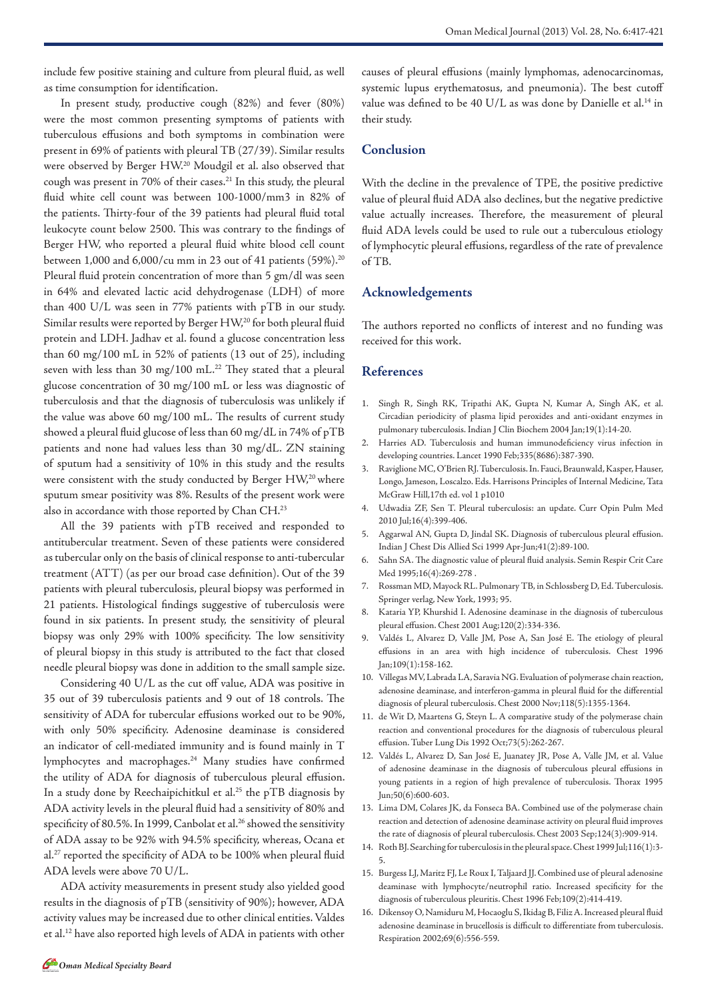include few positive staining and culture from pleural fluid, as well as time consumption for identification.

In present study, productive cough (82%) and fever (80%) were the most common presenting symptoms of patients with tuberculous effusions and both symptoms in combination were present in 69% of patients with pleural TB (27/39). Similar results were observed by Berger HW.20 Moudgil et al. also observed that cough was present in 70% of their cases.<sup>21</sup> In this study, the pleural fluid white cell count was between 100-1000/mm3 in 82% of the patients. Thirty-four of the 39 patients had pleural fluid total leukocyte count below 2500. This was contrary to the findings of Berger HW, who reported a pleural fluid white blood cell count between 1,000 and 6,000/cu mm in 23 out of 41 patients (59%).<sup>20</sup> Pleural fluid protein concentration of more than 5 gm/dl was seen in 64% and elevated lactic acid dehydrogenase (LDH) of more than 400 U/L was seen in 77% patients with pTB in our study. Similar results were reported by Berger HW,<sup>20</sup> for both pleural fluid protein and LDH. Jadhav et al. found a glucose concentration less than 60 mg/100 mL in 52% of patients (13 out of 25), including seven with less than 30 mg/100 mL.<sup>22</sup> They stated that a pleural glucose concentration of 30 mg/100 mL or less was diagnostic of tuberculosis and that the diagnosis of tuberculosis was unlikely if the value was above 60 mg/100 mL. The results of current study showed a pleural fluid glucose of less than 60 mg/dL in 74% of pTB patients and none had values less than 30 mg/dL. ZN staining of sputum had a sensitivity of 10% in this study and the results were consistent with the study conducted by Berger HW,<sup>20</sup> where sputum smear positivity was 8%. Results of the present work were also in accordance with those reported by Chan CH.23

All the 39 patients with pTB received and responded to antitubercular treatment. Seven of these patients were considered as tubercular only on the basis of clinical response to anti-tubercular treatment (ATT) (as per our broad case definition). Out of the 39 patients with pleural tuberculosis, pleural biopsy was performed in 21 patients. Histological findings suggestive of tuberculosis were found in six patients. In present study, the sensitivity of pleural biopsy was only 29% with 100% specificity. The low sensitivity of pleural biopsy in this study is attributed to the fact that closed needle pleural biopsy was done in addition to the small sample size.

Considering 40 U/L as the cut off value, ADA was positive in 35 out of 39 tuberculosis patients and 9 out of 18 controls. The sensitivity of ADA for tubercular effusions worked out to be 90%, with only 50% specificity. Adenosine deaminase is considered an indicator of cell-mediated immunity and is found mainly in T lymphocytes and macrophages.24 Many studies have confirmed the utility of ADA for diagnosis of tuberculous pleural effusion. In a study done by Reechaipichitkul et al.<sup>25</sup> the pTB diagnosis by ADA activity levels in the pleural fluid had a sensitivity of 80% and specificity of 80.5%. In 1999, Canbolat et al.<sup>26</sup> showed the sensitivity of ADA assay to be 92% with 94.5% specificity, whereas, Ocana et al.<sup>27</sup> reported the specificity of ADA to be 100% when pleural fluid ADA levels were above 70 U/L.

ADA activity measurements in present study also yielded good results in the diagnosis of pTB (sensitivity of 90%); however, ADA activity values may be increased due to other clinical entities. Valdes et al.12 have also reported high levels of ADA in patients with other

causes of pleural effusions (mainly lymphomas, adenocarcinomas, systemic lupus erythematosus, and pneumonia). The best cutoff value was defined to be 40 U/L as was done by Danielle et al.<sup>14</sup> in their study.

## **Conclusion**

With the decline in the prevalence of TPE, the positive predictive value of pleural fluid ADA also declines, but the negative predictive value actually increases. Therefore, the measurement of pleural fluid ADA levels could be used to rule out a tuberculous etiology of lymphocytic pleural effusions, regardless of the rate of prevalence of TB.

# **Acknowledgements**

The authors reported no conflicts of interest and no funding was received for this work.

#### **References**

- 1. Singh R, Singh RK, Tripathi AK, Gupta N, Kumar A, Singh AK, et al. Circadian periodicity of plasma lipid peroxides and anti-oxidant enzymes in pulmonary tuberculosis. Indian J Clin Biochem 2004 Jan;19(1):14-20.
- 2. Harries AD. Tuberculosis and human immunodeficiency virus infection in developing countries. Lancet 1990 Feb;335(8686):387-390.
- 3. Raviglione MC, O'Brien RJ. Tuberculosis. In. Fauci, Braunwald, Kasper, Hauser, Longo, Jameson, Loscalzo. Eds. Harrisons Principles of Internal Medicine, Tata McGraw Hill,17th ed. vol 1 p1010
- 4. Udwadia ZF, Sen T. Pleural tuberculosis: an update. Curr Opin Pulm Med 2010 Jul;16(4):399-406.
- 5. Aggarwal AN, Gupta D, Jindal SK. Diagnosis of tuberculous pleural effusion. Indian J Chest Dis Allied Sci 1999 Apr-Jun;41(2):89-100.
- 6. Sahn SA. The diagnostic value of pleural fluid analysis. Semin Respir Crit Care Med 1995;16(4):269-278.
- 7. Rossman MD, Mayock RL. Pulmonary TB, in Schlossberg D, Ed. Tuberculosis. Springer verlag, New York, 1993; 95.
- 8. Kataria YP, Khurshid I. Adenosine deaminase in the diagnosis of tuberculous pleural effusion. Chest 2001 Aug;120(2):334-336.
- 9. Valdés L, Alvarez D, Valle JM, Pose A, San José E. The etiology of pleural effusions in an area with high incidence of tuberculosis. Chest 1996 Jan;109(1):158-162.
- 10. Villegas MV, Labrada LA, Saravia NG. Evaluation of polymerase chain reaction, adenosine deaminase, and interferon-gamma in pleural fluid for the differential diagnosis of pleural tuberculosis. Chest 2000 Nov;118(5):1355-1364.
- 11. de Wit D, Maartens G, Steyn L. A comparative study of the polymerase chain reaction and conventional procedures for the diagnosis of tuberculous pleural effusion. Tuber Lung Dis 1992 Oct;73(5):262-267.
- 12. Valdés L, Alvarez D, San José E, Juanatey JR, Pose A, Valle JM, et al. Value of adenosine deaminase in the diagnosis of tuberculous pleural effusions in young patients in a region of high prevalence of tuberculosis. Thorax 1995 Jun;50(6):600-603.
- 13. Lima DM, Colares JK, da Fonseca BA. Combined use of the polymerase chain reaction and detection of adenosine deaminase activity on pleural fluid improves the rate of diagnosis of pleural tuberculosis. Chest 2003 Sep;124(3):909-914.
- 14. Roth BJ. Searching for tuberculosis in the pleural space. Chest 1999 Jul;116(1):3- 5.
- 15. Burgess LJ, Maritz FJ, Le Roux I, Taljaard JJ. Combined use of pleural adenosine deaminase with lymphocyte/neutrophil ratio. Increased specificity for the diagnosis of tuberculous pleuritis. Chest 1996 Feb;109(2):414-419.
- 16. Dikensoy O, Namiduru M, Hocaoglu S, Ikidag B, Filiz A. Increased pleural fluid adenosine deaminase in brucellosis is difficult to differentiate from tuberculosis. Respiration 2002;69(6):556-559.